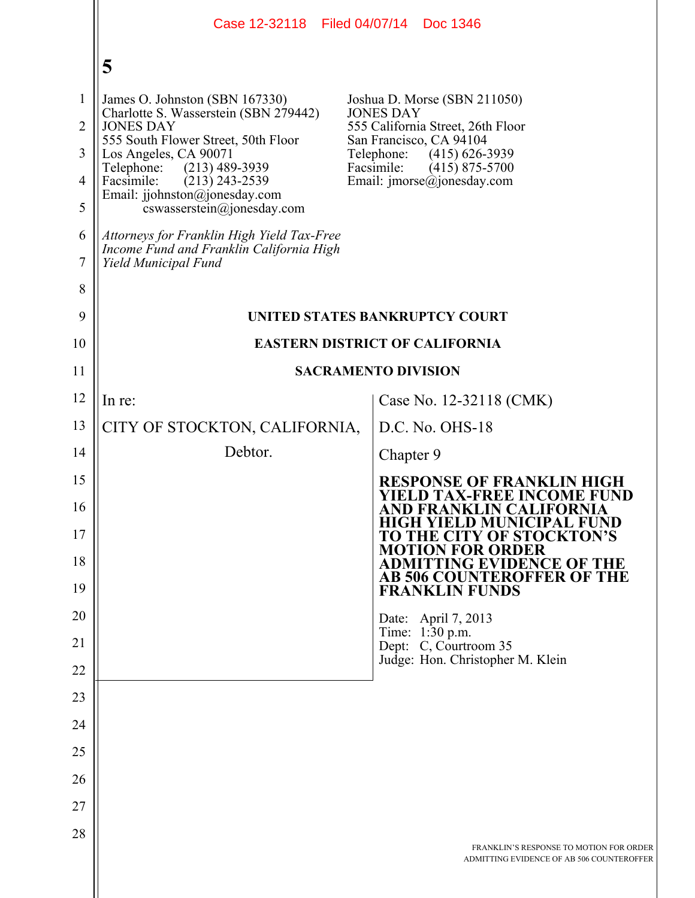|                | Case 12-32118 Filed 04/07/14 Doc 1346                                                                          |                                                                                      |  |
|----------------|----------------------------------------------------------------------------------------------------------------|--------------------------------------------------------------------------------------|--|
|                | 5                                                                                                              |                                                                                      |  |
| 1              | James O. Johnston (SBN 167330)                                                                                 | Joshua D. Morse (SBN 211050)                                                         |  |
| $\overline{2}$ | Charlotte S. Wasserstein (SBN 279442)<br><b>JONES DAY</b>                                                      | <b>JONES DAY</b><br>555 California Street, 26th Floor                                |  |
| 3              | 555 South Flower Street, 50th Floor<br>Los Angeles, CA 90071                                                   | San Francisco, CA 94104<br>Telephone:<br>$(415)$ 626-3939<br>Facsimile:              |  |
| $\overline{4}$ | Telephone: (213) 489-3939<br>Facsimile:<br>$(213)$ 243-2539                                                    | $(415)$ 875-5700<br>Email: $\text{imorse}(\hat{a})$ jonesday.com                     |  |
| 5              | Email: jjohnston@jonesday.com<br>$coswasserstein(\theta)$ ionesday.com                                         |                                                                                      |  |
| 6<br>7         | Attorneys for Franklin High Yield Tax-Free<br>Income Fund and Franklin California High<br>Yield Municipal Fund |                                                                                      |  |
| 8              |                                                                                                                |                                                                                      |  |
| 9              | UNITED STATES BANKRUPTCY COURT                                                                                 |                                                                                      |  |
| 10             | <b>EASTERN DISTRICT OF CALIFORNIA</b>                                                                          |                                                                                      |  |
| 11             | <b>SACRAMENTO DIVISION</b>                                                                                     |                                                                                      |  |
| 12             | In re:                                                                                                         | Case No. 12-32118 (CMK)                                                              |  |
| 13             | CITY OF STOCKTON, CALIFORNIA,                                                                                  | D.C. No. OHS-18                                                                      |  |
| 14             | Debtor.                                                                                                        | Chapter 9                                                                            |  |
| 15             |                                                                                                                | <b>RESPONSE OF FRANKLIN HIGH</b><br>YIELD TAX-FREE INCOME FUND                       |  |
| 16             |                                                                                                                | AND FRANKLIN CALIFORNIA<br><b>HIGH YIELD MUNICIPAL FUND</b>                          |  |
| 17             |                                                                                                                | TO THE CITY OF STOCKTON'S<br><b>MOTION FOR ORDER</b>                                 |  |
| 18             |                                                                                                                | <b>ADMITTING EVIDENCE OF THE</b><br>AB 506 COUNTEROFFER OF THE                       |  |
| 19             |                                                                                                                | <b>FRANKLIN FUNDS</b>                                                                |  |
| 20             |                                                                                                                | Date: April 7, 2013<br>Time: 1:30 p.m.                                               |  |
| 21             |                                                                                                                | Dept: C, Courtroom 35<br>Judge: Hon. Christopher M. Klein                            |  |
| 22             |                                                                                                                |                                                                                      |  |
| 23             |                                                                                                                |                                                                                      |  |
| 24             |                                                                                                                |                                                                                      |  |
| 25             |                                                                                                                |                                                                                      |  |
| 26<br>27       |                                                                                                                |                                                                                      |  |
| 28             |                                                                                                                |                                                                                      |  |
|                |                                                                                                                | FRANKLIN'S RESPONSE TO MOTION FOR ORDER<br>ADMITTING EVIDENCE OF AB 506 COUNTEROFFER |  |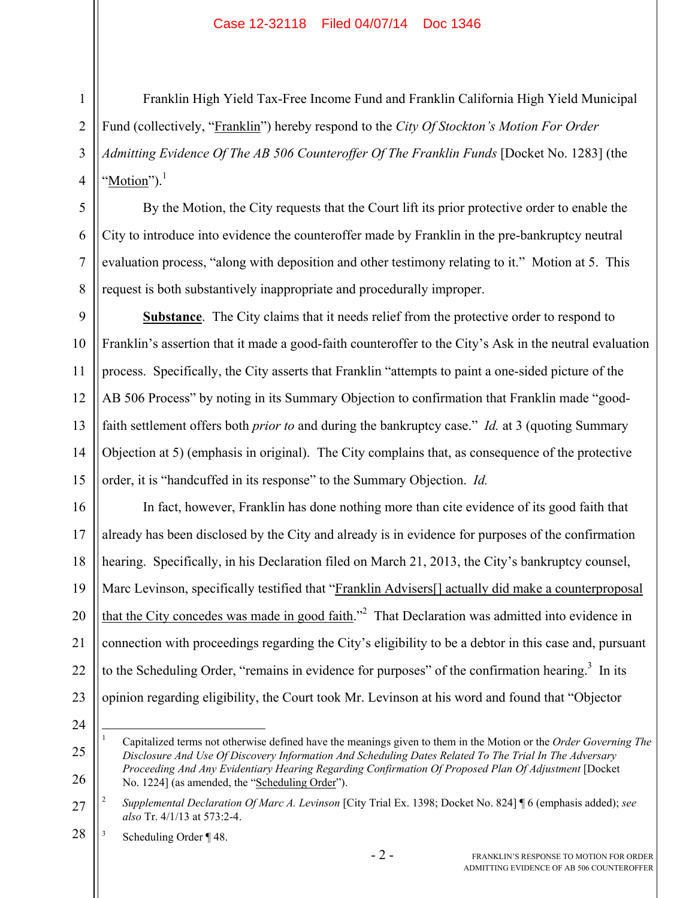Franklin High Yield Tax-Free Income Fund and Franklin California High Yield Municipal Fund (collectively, "Franklin") hereby respond to the *City Of Stockton's Motion For Order Admitting Evidence Of The AB 506 Counteroffer Of The Franklin Funds* [Docket No. 1283] (the " $Motion"$ ).<sup>1</sup></u>

By the Motion, the City requests that the Court lift its prior protective order to enable the City to introduce into evidence the counteroffer made by Franklin in the pre-bankruptcy neutral evaluation process, "along with deposition and other testimony relating to it." Motion at 5. This request is both substantively inappropriate and procedurally improper.

9 10 11 12 13 14 15 **<u>Substance</u>**. The City claims that it needs relief from the protective order to respond to Franklin's assertion that it made a good-faith counteroffer to the City's Ask in the neutral evaluation process. Specifically, the City asserts that Franklin "attempts to paint a one-sided picture of the AB 506 Process" by noting in its Summary Objection to confirmation that Franklin made "goodfaith settlement offers both *prior to* and during the bankruptcy case." *Id.* at 3 (quoting Summary Objection at 5) (emphasis in original). The City complains that, as consequence of the protective order, it is "handcuffed in its response" to the Summary Objection. *Id.*

16 17 18 19 20 21 22 23 In fact, however, Franklin has done nothing more than cite evidence of its good faith that already has been disclosed by the City and already is in evidence for purposes of the confirmation hearing. Specifically, in his Declaration filed on March 21, 2013, the City's bankruptcy counsel, Marc Levinson, specifically testified that "Franklin Advisers<sup>[]</sup> actually did make a counterproposal that the City concedes was made in good faith.<sup>22</sup> That Declaration was admitted into evidence in connection with proceedings regarding the City's eligibility to be a debtor in this case and, pursuant to the Scheduling Order, "remains in evidence for purposes" of the confirmation hearing. $3$  In its opinion regarding eligibility, the Court took Mr. Levinson at his word and found that "Objector

24

1

25

26

1

2

3

4

5

6

7

8

<sup>1</sup> Capitalized terms not otherwise defined have the meanings given to them in the Motion or the *Order Governing The Disclosure And Use Of Discovery Information And Scheduling Dates Related To The Trial In The Adversary Proceeding And Any Evidentiary Hearing Regarding Confirmation Of Proposed Plan Of Adjustment* [Docket No. 1224] (as amended, the "Scheduling Order").

<sup>27</sup> 2 *Supplemental Declaration Of Marc A. Levinson* [City Trial Ex. 1398; Docket No. 824] ¶ 6 (emphasis added); *see also* Tr. 4/1/13 at 573:2-4.

<sup>28</sup> 3 Scheduling Order ¶ 48.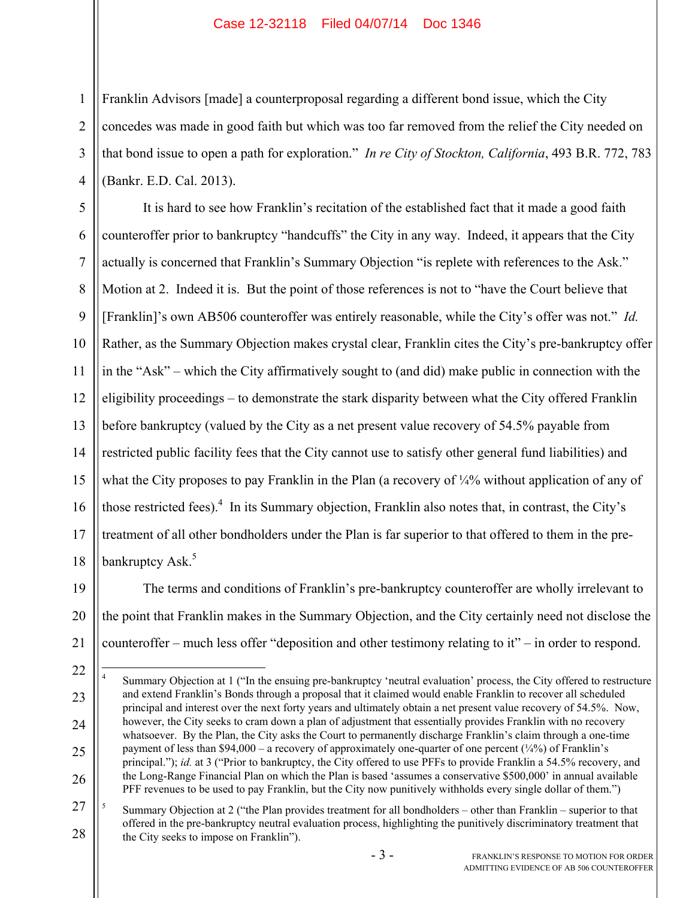1

2

3

4

Franklin Advisors [made] a counterproposal regarding a different bond issue, which the City concedes was made in good faith but which was too far removed from the relief the City needed on that bond issue to open a path for exploration." *In re City of Stockton, California*, 493 B.R. 772, 783 (Bankr. E.D. Cal. 2013).

5 6 7 8 9 10 11 12 13 14 15 16 17 18 It is hard to see how Franklin's recitation of the established fact that it made a good faith counteroffer prior to bankruptcy "handcuffs" the City in any way. Indeed, it appears that the City actually is concerned that Franklin's Summary Objection "is replete with references to the Ask." Motion at 2. Indeed it is. But the point of those references is not to "have the Court believe that [Franklin]'s own AB506 counteroffer was entirely reasonable, while the City's offer was not." *Id.* Rather, as the Summary Objection makes crystal clear, Franklin cites the City's pre-bankruptcy offer in the "Ask" – which the City affirmatively sought to (and did) make public in connection with the eligibility proceedings – to demonstrate the stark disparity between what the City offered Franklin before bankruptcy (valued by the City as a net present value recovery of 54.5% payable from restricted public facility fees that the City cannot use to satisfy other general fund liabilities) and what the City proposes to pay Franklin in the Plan (a recovery of ¼% without application of any of those restricted fees). $4$  In its Summary objection, Franklin also notes that, in contrast, the City's treatment of all other bondholders under the Plan is far superior to that offered to them in the prebankruptcy Ask.<sup>5</sup>

19 20 21 The terms and conditions of Franklin's pre-bankruptcy counteroffer are wholly irrelevant to the point that Franklin makes in the Summary Objection, and the City certainly need not disclose the counteroffer – much less offer "deposition and other testimony relating to it" – in order to respond.

<sup>22</sup> 23 24 25 26  $\frac{1}{4}$  Summary Objection at 1 ("In the ensuing pre-bankruptcy 'neutral evaluation' process, the City offered to restructure and extend Franklin's Bonds through a proposal that it claimed would enable Franklin to recover all scheduled principal and interest over the next forty years and ultimately obtain a net present value recovery of 54.5%. Now, however, the City seeks to cram down a plan of adjustment that essentially provides Franklin with no recovery whatsoever. By the Plan, the City asks the Court to permanently discharge Franklin's claim through a one-time payment of less than  $$94,000 - a$  recovery of approximately one-quarter of one percent  $({\frac{1}{4}\%})$  of Franklin's principal."); *id.* at 3 ("Prior to bankruptcy, the City offered to use PFFs to provide Franklin a 54.5% recovery, and the Long-Range Financial Plan on which the Plan is based 'assumes a conservative \$500,000' in annual available PFF revenues to be used to pay Franklin, but the City now punitively withholds every single dollar of them.")

<sup>27</sup> 28 5 Summary Objection at 2 ("the Plan provides treatment for all bondholders – other than Franklin – superior to that offered in the pre-bankruptcy neutral evaluation process, highlighting the punitively discriminatory treatment that the City seeks to impose on Franklin").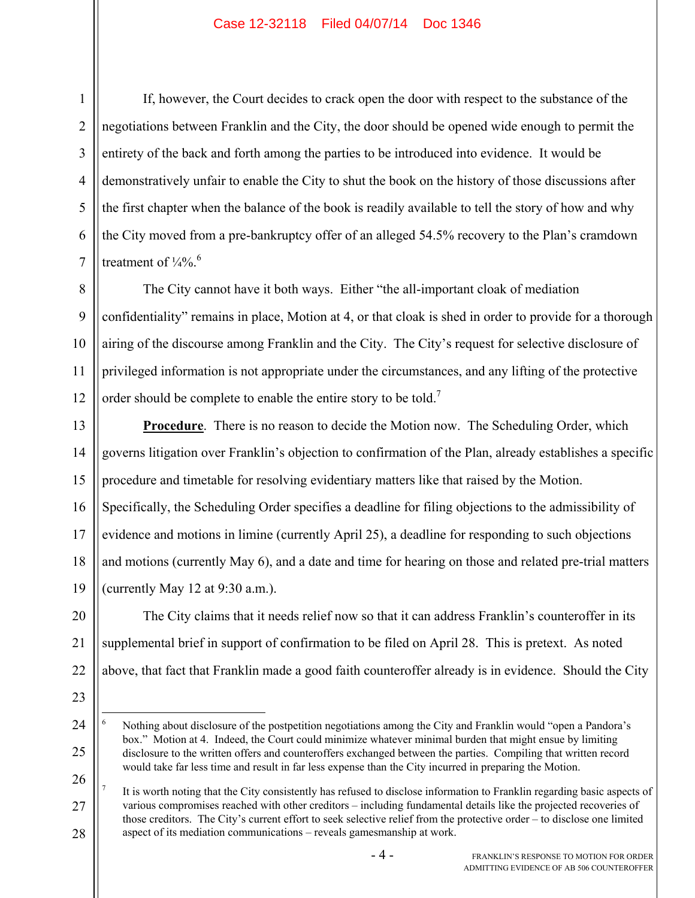If, however, the Court decides to crack open the door with respect to the substance of the negotiations between Franklin and the City, the door should be opened wide enough to permit the entirety of the back and forth among the parties to be introduced into evidence. It would be demonstratively unfair to enable the City to shut the book on the history of those discussions after the first chapter when the balance of the book is readily available to tell the story of how and why the City moved from a pre-bankruptcy offer of an alleged 54.5% recovery to the Plan's cramdown treatment of  $\frac{1}{4}\%$ .

8 9 10 11 12 The City cannot have it both ways. Either "the all-important cloak of mediation confidentiality" remains in place, Motion at 4, or that cloak is shed in order to provide for a thorough airing of the discourse among Franklin and the City. The City's request for selective disclosure of privileged information is not appropriate under the circumstances, and any lifting of the protective order should be complete to enable the entire story to be told.<sup>7</sup>

13 14 15 16 17 18 19 **Procedure**. There is no reason to decide the Motion now. The Scheduling Order, which governs litigation over Franklin's objection to confirmation of the Plan, already establishes a specific procedure and timetable for resolving evidentiary matters like that raised by the Motion. Specifically, the Scheduling Order specifies a deadline for filing objections to the admissibility of evidence and motions in limine (currently April 25), a deadline for responding to such objections and motions (currently May 6), and a date and time for hearing on those and related pre-trial matters (currently May 12 at 9:30 a.m.).

20 21 22 The City claims that it needs relief now so that it can address Franklin's counteroffer in its supplemental brief in support of confirmation to be filed on April 28. This is pretext. As noted above, that fact that Franklin made a good faith counteroffer already is in evidence. Should the City

23

1

2

3

4

5

6

7

24

25

26 27 28 7 It is worth noting that the City consistently has refused to disclose information to Franklin regarding basic aspects of various compromises reached with other creditors – including fundamental details like the projected recoveries of those creditors. The City's current effort to seek selective relief from the protective order – to disclose one limited aspect of its mediation communications – reveals gamesmanship at work.

 $\frac{1}{6}$  Nothing about disclosure of the postpetition negotiations among the City and Franklin would "open a Pandora's box." Motion at 4. Indeed, the Court could minimize whatever minimal burden that might ensue by limiting disclosure to the written offers and counteroffers exchanged between the parties. Compiling that written record would take far less time and result in far less expense than the City incurred in preparing the Motion.